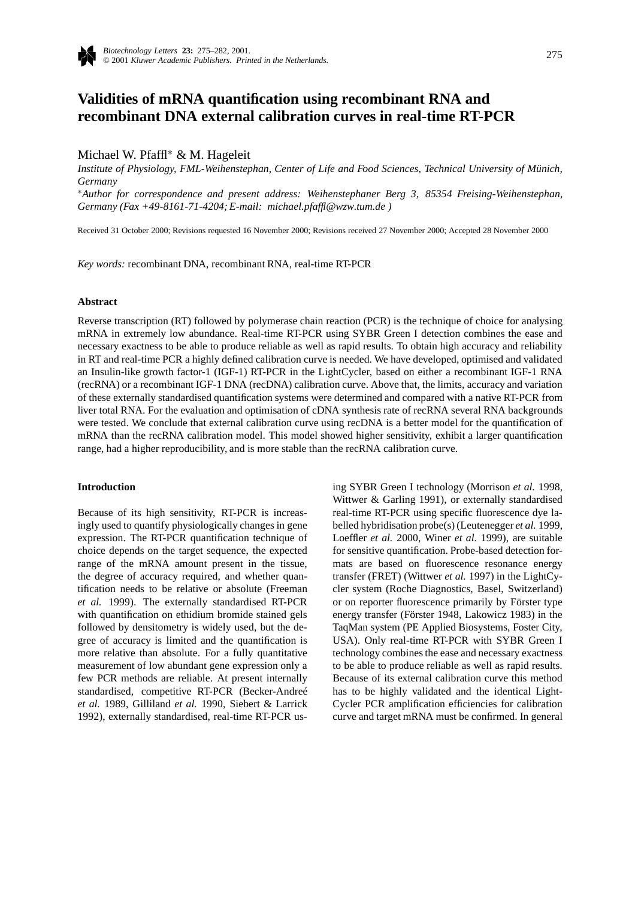

# **Validities of mRNA quantification using recombinant RNA and recombinant DNA external calibration curves in real-time RT-PCR**

Michael W. Pfaffl∗ & M. Hageleit

*Institute of Physiology, FML-Weihenstephan, Center of Life and Food Sciences, Technical University of Münich, Germany*

∗*Author for correspondence and present address: Weihenstephaner Berg 3, 85354 Freising-Weihenstephan, Germany (Fax +49-8161-71-4204; E-mail: michael.pfaffl@wzw.tum.de )*

Received 31 October 2000; Revisions requested 16 November 2000; Revisions received 27 November 2000; Accepted 28 November 2000

*Key words:* recombinant DNA, recombinant RNA, real-time RT-PCR

## **Abstract**

Reverse transcription (RT) followed by polymerase chain reaction (PCR) is the technique of choice for analysing mRNA in extremely low abundance. Real-time RT-PCR using SYBR Green I detection combines the ease and necessary exactness to be able to produce reliable as well as rapid results. To obtain high accuracy and reliability in RT and real-time PCR a highly defined calibration curve is needed. We have developed, optimised and validated an Insulin-like growth factor-1 (IGF-1) RT-PCR in the LightCycler, based on either a recombinant IGF-1 RNA (recRNA) or a recombinant IGF-1 DNA (recDNA) calibration curve. Above that, the limits, accuracy and variation of these externally standardised quantification systems were determined and compared with a native RT-PCR from liver total RNA. For the evaluation and optimisation of cDNA synthesis rate of recRNA several RNA backgrounds were tested. We conclude that external calibration curve using recDNA is a better model for the quantification of mRNA than the recRNA calibration model. This model showed higher sensitivity, exhibit a larger quantification range, had a higher reproducibility, and is more stable than the recRNA calibration curve.

#### **Introduction**

Because of its high sensitivity, RT-PCR is increasingly used to quantify physiologically changes in gene expression. The RT-PCR quantification technique of choice depends on the target sequence, the expected range of the mRNA amount present in the tissue, the degree of accuracy required, and whether quantification needs to be relative or absolute (Freeman *et al.* 1999). The externally standardised RT-PCR with quantification on ethidium bromide stained gels followed by densitometry is widely used, but the degree of accuracy is limited and the quantification is more relative than absolute. For a fully quantitative measurement of low abundant gene expression only a few PCR methods are reliable. At present internally standardised, competitive RT-PCR (Becker-Andreé *et al.* 1989, Gilliland *et al.* 1990, Siebert & Larrick 1992), externally standardised, real-time RT-PCR using SYBR Green I technology (Morrison *et al.* 1998, Wittwer & Garling 1991), or externally standardised real-time RT-PCR using specific fluorescence dye labelled hybridisation probe(s) (Leutenegger *et al.* 1999, Loeffler *et al.* 2000, Winer *et al.* 1999), are suitable for sensitive quantification. Probe-based detection formats are based on fluorescence resonance energy transfer (FRET) (Wittwer *et al.* 1997) in the LightCycler system (Roche Diagnostics, Basel, Switzerland) or on reporter fluorescence primarily by Förster type energy transfer (Förster 1948, Lakowicz 1983) in the TaqMan system (PE Applied Biosystems, Foster City, USA). Only real-time RT-PCR with SYBR Green I technology combines the ease and necessary exactness to be able to produce reliable as well as rapid results. Because of its external calibration curve this method has to be highly validated and the identical Light-Cycler PCR amplification efficiencies for calibration curve and target mRNA must be confirmed. In general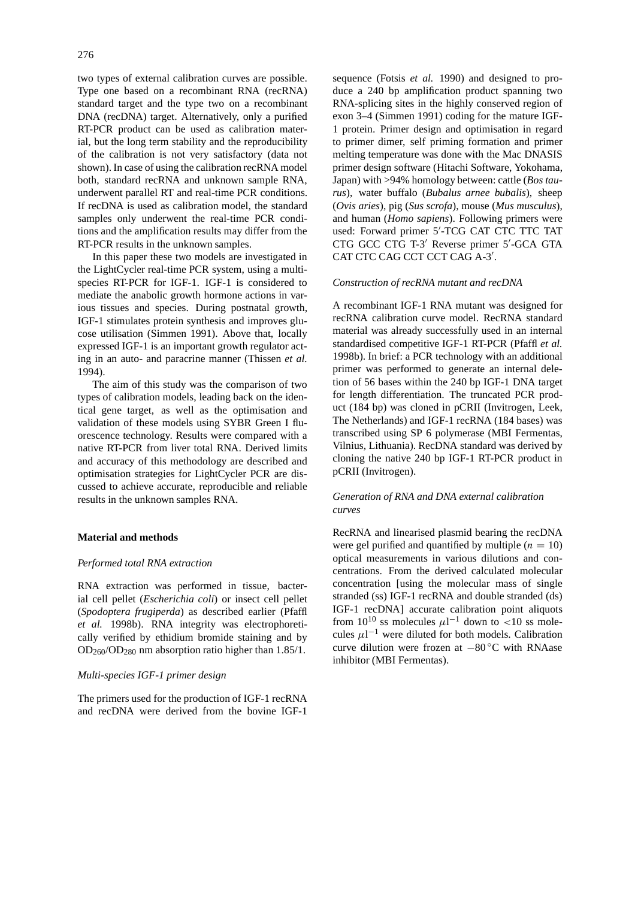two types of external calibration curves are possible. Type one based on a recombinant RNA (recRNA) standard target and the type two on a recombinant DNA (recDNA) target. Alternatively, only a purified RT-PCR product can be used as calibration material, but the long term stability and the reproducibility of the calibration is not very satisfactory (data not shown). In case of using the calibration recRNA model both, standard recRNA and unknown sample RNA, underwent parallel RT and real-time PCR conditions. If recDNA is used as calibration model, the standard samples only underwent the real-time PCR conditions and the amplification results may differ from the RT-PCR results in the unknown samples.

In this paper these two models are investigated in the LightCycler real-time PCR system, using a multispecies RT-PCR for IGF-1. IGF-1 is considered to mediate the anabolic growth hormone actions in various tissues and species. During postnatal growth, IGF-1 stimulates protein synthesis and improves glucose utilisation (Simmen 1991). Above that, locally expressed IGF-1 is an important growth regulator acting in an auto- and paracrine manner (Thissen *et al.* 1994).

The aim of this study was the comparison of two types of calibration models, leading back on the identical gene target, as well as the optimisation and validation of these models using SYBR Green I fluorescence technology. Results were compared with a native RT-PCR from liver total RNA. Derived limits and accuracy of this methodology are described and optimisation strategies for LightCycler PCR are discussed to achieve accurate, reproducible and reliable results in the unknown samples RNA.

# **Material and methods**

# *Performed total RNA extraction*

RNA extraction was performed in tissue, bacterial cell pellet (*Escherichia coli*) or insect cell pellet (*Spodoptera frugiperda*) as described earlier (Pfaffl *et al.* 1998b). RNA integrity was electrophoretically verified by ethidium bromide staining and by OD260/OD280 nm absorption ratio higher than 1.85/1.

# *Multi-species IGF-1 primer design*

The primers used for the production of IGF-1 recRNA and recDNA were derived from the bovine IGF-1

sequence (Fotsis *et al.* 1990) and designed to produce a 240 bp amplification product spanning two RNA-splicing sites in the highly conserved region of exon 3–4 (Simmen 1991) coding for the mature IGF-1 protein. Primer design and optimisation in regard to primer dimer, self priming formation and primer melting temperature was done with the Mac DNASIS primer design software (Hitachi Software, Yokohama, Japan) with >94% homology between: cattle (*Bos taurus*), water buffalo (*Bubalus arnee bubalis*), sheep (*Ovis aries*), pig (*Sus scrofa*), mouse (*Mus musculus*), and human (*Homo sapiens*). Following primers were used: Forward primer 5'-TCG CAT CTC TTC TAT CTG GCC CTG T-3' Reverse primer 5'-GCA GTA CAT CTC CAG CCT CCT CAG A-3'.

# *Construction of recRNA mutant and recDNA*

A recombinant IGF-1 RNA mutant was designed for recRNA calibration curve model. RecRNA standard material was already successfully used in an internal standardised competitive IGF-1 RT-PCR (Pfaffl *et al.* 1998b). In brief: a PCR technology with an additional primer was performed to generate an internal deletion of 56 bases within the 240 bp IGF-1 DNA target for length differentiation. The truncated PCR product (184 bp) was cloned in pCRII (Invitrogen, Leek, The Netherlands) and IGF-1 recRNA (184 bases) was transcribed using SP 6 polymerase (MBI Fermentas, Vilnius, Lithuania). RecDNA standard was derived by cloning the native 240 bp IGF-1 RT-PCR product in pCRII (Invitrogen).

# *Generation of RNA and DNA external calibration curves*

RecRNA and linearised plasmid bearing the recDNA were gel purified and quantified by multiple  $(n = 10)$ optical measurements in various dilutions and concentrations. From the derived calculated molecular concentration [using the molecular mass of single stranded (ss) IGF-1 recRNA and double stranded (ds) IGF-1 recDNA] accurate calibration point aliquots from  $10^{10}$  ss molecules  $\mu$ 1<sup>-1</sup> down to <10 ss molecules  $\mu$ 1<sup>-1</sup> were diluted for both models. Calibration curve dilution were frozen at −80 ◦C with RNAase inhibitor (MBI Fermentas).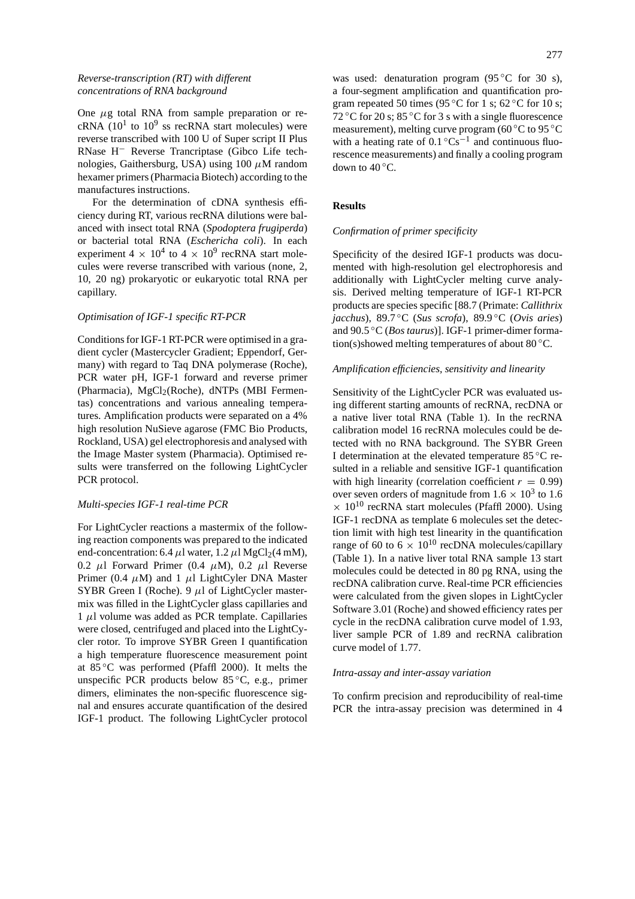# *Reverse-transcription (RT) with different concentrations of RNA background*

One *µ*g total RNA from sample preparation or recRNA ( $10<sup>1</sup>$  to  $10<sup>9</sup>$  ss recRNA start molecules) were reverse transcribed with 100 U of Super script II Plus RNase H− Reverse Trancriptase (Gibco Life technologies, Gaithersburg, USA) using 100 *µ*M random hexamer primers (Pharmacia Biotech) according to the manufactures instructions.

For the determination of cDNA synthesis efficiency during RT, various recRNA dilutions were balanced with insect total RNA (*Spodoptera frugiperda*) or bacterial total RNA (*Eschericha coli*). In each experiment 4  $\times$  10<sup>4</sup> to 4  $\times$  10<sup>9</sup> recRNA start molecules were reverse transcribed with various (none, 2, 10, 20 ng) prokaryotic or eukaryotic total RNA per capillary.

## *Optimisation of IGF-1 specific RT-PCR*

Conditions for IGF-1 RT-PCR were optimised in a gradient cycler (Mastercycler Gradient; Eppendorf, Germany) with regard to Taq DNA polymerase (Roche), PCR water pH, IGF-1 forward and reverse primer (Pharmacia), MgCl<sub>2</sub>(Roche), dNTPs (MBI Fermentas) concentrations and various annealing temperatures. Amplification products were separated on a 4% high resolution NuSieve agarose (FMC Bio Products, Rockland, USA) gel electrophoresis and analysed with the Image Master system (Pharmacia). Optimised results were transferred on the following LightCycler PCR protocol.

#### *Multi-species IGF-1 real-time PCR*

For LightCycler reactions a mastermix of the following reaction components was prepared to the indicated end-concentration: 6.4  $\mu$ l water, 1.2  $\mu$ l MgCl<sub>2</sub>(4 mM), 0.2  $\mu$ l Forward Primer (0.4  $\mu$ M), 0.2  $\mu$ l Reverse Primer (0.4  $\mu$ M) and 1  $\mu$ l LightCyler DNA Master SYBR Green I (Roche). 9 *µ*l of LightCycler mastermix was filled in the LightCycler glass capillaries and  $1 \mu$ l volume was added as PCR template. Capillaries were closed, centrifuged and placed into the LightCycler rotor. To improve SYBR Green I quantification a high temperature fluorescence measurement point at 85 ◦C was performed (Pfaffl 2000). It melts the unspecific PCR products below 85 ◦C, e.g., primer dimers, eliminates the non-specific fluorescence signal and ensures accurate quantification of the desired IGF-1 product. The following LightCycler protocol

was used: denaturation program  $(95^{\circ}C$  for 30 s), a four-segment amplification and quantification program repeated 50 times (95 °C for 1 s; 62 °C for 10 s; 72 °C for 20 s;  $85$  °C for 3 s with a single fluorescence measurement), melting curve program (60 ◦C to 95 ◦C with a heating rate of  $0.1 \degree \text{Cs}^{-1}$  and continuous fluorescence measurements) and finally a cooling program down to 40 °C.

#### **Results**

#### *Confirmation of primer specificity*

Specificity of the desired IGF-1 products was documented with high-resolution gel electrophoresis and additionally with LightCycler melting curve analysis. Derived melting temperature of IGF-1 RT-PCR products are species specific [88.7 (Primate: *Callithrix jacchus*), 89.7 ◦C (*Sus scrofa*), 89.9 ◦C (*Ovis aries*) and 90.5 ◦C (*Bos taurus*)]. IGF-1 primer-dimer formation(s)showed melting temperatures of about  $80^{\circ}$ C.

## *Amplification efficiencies, sensitivity and linearity*

Sensitivity of the LightCycler PCR was evaluated using different starting amounts of recRNA, recDNA or a native liver total RNA (Table 1). In the recRNA calibration model 16 recRNA molecules could be detected with no RNA background. The SYBR Green I determination at the elevated temperature 85 ◦C resulted in a reliable and sensitive IGF-1 quantification with high linearity (correlation coefficient  $r = 0.99$ ) over seven orders of magnitude from  $1.6 \times 10^3$  to 1.6  $\times$  10<sup>10</sup> recRNA start molecules (Pfaffl 2000). Using IGF-1 recDNA as template 6 molecules set the detection limit with high test linearity in the quantification range of 60 to 6  $\times$  10<sup>10</sup> recDNA molecules/capillary (Table 1). In a native liver total RNA sample 13 start molecules could be detected in 80 pg RNA, using the recDNA calibration curve. Real-time PCR efficiencies were calculated from the given slopes in LightCycler Software 3.01 (Roche) and showed efficiency rates per cycle in the recDNA calibration curve model of 1.93, liver sample PCR of 1.89 and recRNA calibration curve model of 1.77.

#### *Intra-assay and inter-assay variation*

To confirm precision and reproducibility of real-time PCR the intra-assay precision was determined in 4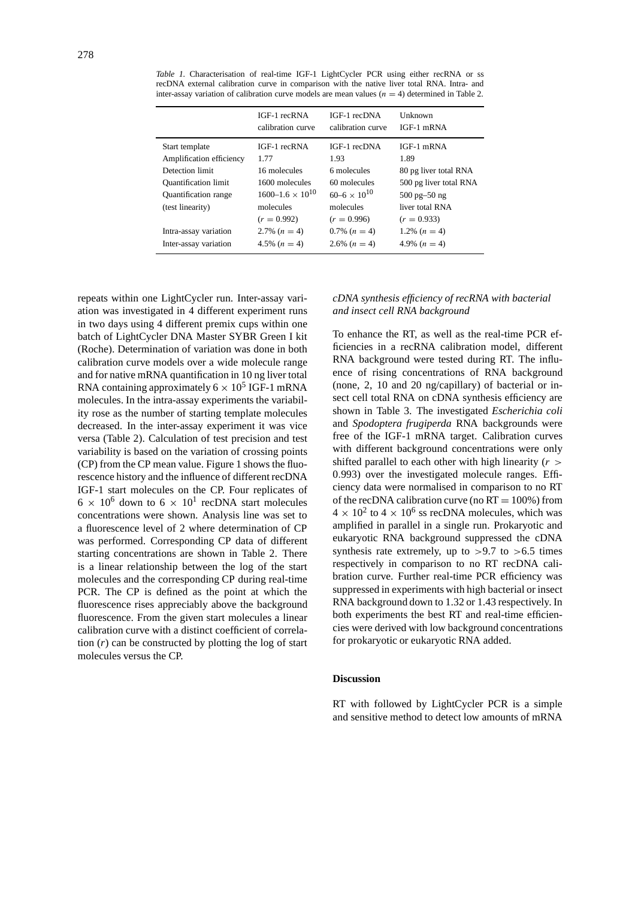|                                            | IGF-1 recRNA<br>calibration curve | IGF-1 recDNA<br>calibration curve | Unknown<br>$IGF-1$ mRNA          |
|--------------------------------------------|-----------------------------------|-----------------------------------|----------------------------------|
| Start template<br>Amplification efficiency | IGF-1 recRNA<br>1.77              | IGF-1 recDNA<br>1.93              | $IGF-1$ mRNA<br>1.89             |
| Detection limit                            | 16 molecules                      | 6 molecules                       | 80 pg liver total RNA            |
| <b>Quantification limit</b>                | 1600 molecules                    | 60 molecules                      | 500 pg liver total RNA           |
| <b>Quantification</b> range                | $1600 - 1.6 \times 10^{10}$       | $60 - 6 \times 10^{10}$           | $500 \text{ pg} - 50 \text{ ng}$ |
| (test linearity)                           | molecules                         | molecules                         | liver total RNA                  |
|                                            | $(r = 0.992)$                     | $(r = 0.996)$                     | $(r = 0.933)$                    |
| Intra-assay variation                      | 2.7% $(n = 4)$                    | $0.7\%$ $(n = 4)$                 | 1.2% $(n = 4)$                   |
| Inter-assay variation                      | 4.5% $(n = 4)$                    | 2.6% $(n = 4)$                    | 4.9% $(n = 4)$                   |

*Table 1.* Characterisation of real-time IGF-1 LightCycler PCR using either recRNA or ss recDNA external calibration curve in comparison with the native liver total RNA. Intra- and inter-assay variation of calibration curve models are mean values  $(n = 4)$  determined in Table 2.

repeats within one LightCycler run. Inter-assay variation was investigated in 4 different experiment runs in two days using 4 different premix cups within one batch of LightCycler DNA Master SYBR Green I kit (Roche). Determination of variation was done in both calibration curve models over a wide molecule range and for native mRNA quantification in 10 ng liver total RNA containing approximately  $6 \times 10^5$  IGF-1 mRNA molecules. In the intra-assay experiments the variability rose as the number of starting template molecules decreased. In the inter-assay experiment it was vice versa (Table 2). Calculation of test precision and test variability is based on the variation of crossing points (CP) from the CP mean value. Figure 1 shows the fluorescence history and the influence of different recDNA IGF-1 start molecules on the CP. Four replicates of  $6 \times 10^6$  down to  $6 \times 10^1$  recDNA start molecules concentrations were shown. Analysis line was set to a fluorescence level of 2 where determination of CP was performed. Corresponding CP data of different starting concentrations are shown in Table 2. There is a linear relationship between the log of the start molecules and the corresponding CP during real-time PCR. The CP is defined as the point at which the fluorescence rises appreciably above the background fluorescence. From the given start molecules a linear calibration curve with a distinct coefficient of correlation (*r*) can be constructed by plotting the log of start molecules versus the CP.

# *cDNA synthesis efficiency of recRNA with bacterial and insect cell RNA background*

To enhance the RT, as well as the real-time PCR efficiencies in a recRNA calibration model, different RNA background were tested during RT. The influence of rising concentrations of RNA background (none, 2, 10 and 20 ng/capillary) of bacterial or insect cell total RNA on cDNA synthesis efficiency are shown in Table 3. The investigated *Escherichia coli* and *Spodoptera frugiperda* RNA backgrounds were free of the IGF-1 mRNA target. Calibration curves with different background concentrations were only shifted parallel to each other with high linearity (*r >* 0*.*993) over the investigated molecule ranges. Efficiency data were normalised in comparison to no RT of the recDNA calibration curve (no  $RT = 100\%$ ) from  $4 \times 10^2$  to  $4 \times 10^6$  ss recDNA molecules, which was amplified in parallel in a single run. Prokaryotic and eukaryotic RNA background suppressed the cDNA synthesis rate extremely, up to *>*9.7 to *>*6.5 times respectively in comparison to no RT recDNA calibration curve. Further real-time PCR efficiency was suppressed in experiments with high bacterial or insect RNA background down to 1.32 or 1.43 respectively. In both experiments the best RT and real-time efficiencies were derived with low background concentrations for prokaryotic or eukaryotic RNA added.

#### **Discussion**

RT with followed by LightCycler PCR is a simple and sensitive method to detect low amounts of mRNA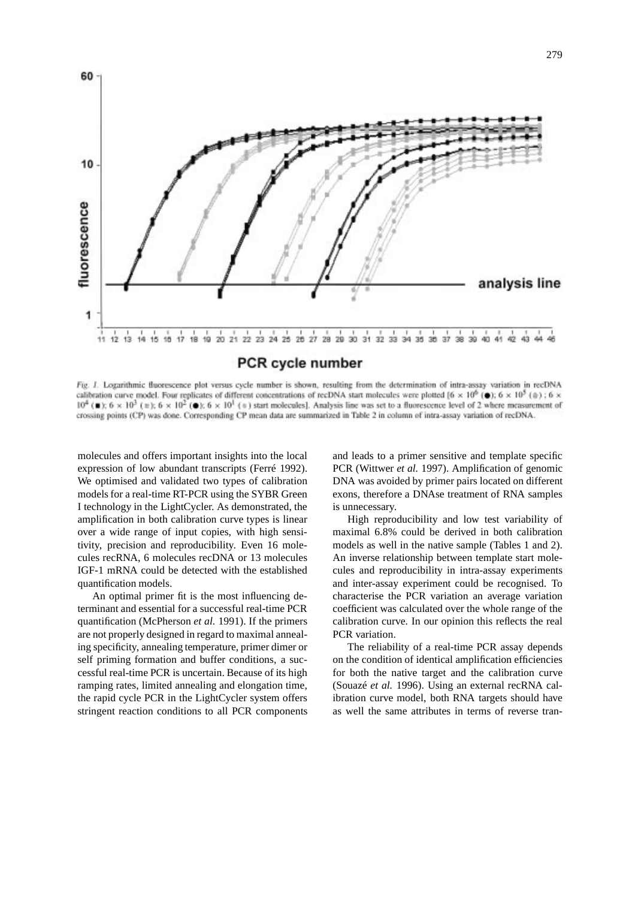

Fig. 1. Logarithmic fluorescence plot versus cycle number is shown, resulting from the determination of intra-assay variation in recDNA calibration curve model. Four replicates of different concentrations of recDNA start molecules were plotted  $\{6 \times 10^6 \}$  (a);  $6 \times 10^5$  (a); 6 x  $10^4$  ( $\pm$ );  $6 \times 10^3$  ( $\pm$ );  $6 \times 10^2$  ( $\bullet$ );  $6 \times 10^1$  ( $\pm$ ) start molecules]. Analysis line was set to a fluorescence level of 2 where measurement of crossing points (CP) was done. Corresponding CP mean data are summarized in Table 2 in column of intra-assay variation of recDNA.

molecules and offers important insights into the local expression of low abundant transcripts (Ferré 1992). We optimised and validated two types of calibration models for a real-time RT-PCR using the SYBR Green I technology in the LightCycler. As demonstrated, the amplification in both calibration curve types is linear over a wide range of input copies, with high sensitivity, precision and reproducibility. Even 16 molecules recRNA, 6 molecules recDNA or 13 molecules IGF-1 mRNA could be detected with the established quantification models.

An optimal primer fit is the most influencing determinant and essential for a successful real-time PCR quantification (McPherson *et al.* 1991). If the primers are not properly designed in regard to maximal annealing specificity, annealing temperature, primer dimer or self priming formation and buffer conditions, a successful real-time PCR is uncertain. Because of its high ramping rates, limited annealing and elongation time, the rapid cycle PCR in the LightCycler system offers stringent reaction conditions to all PCR components and leads to a primer sensitive and template specific PCR (Wittwer *et al.* 1997). Amplification of genomic DNA was avoided by primer pairs located on different exons, therefore a DNAse treatment of RNA samples is unnecessary.

High reproducibility and low test variability of maximal 6.8% could be derived in both calibration models as well in the native sample (Tables 1 and 2). An inverse relationship between template start molecules and reproducibility in intra-assay experiments and inter-assay experiment could be recognised. To characterise the PCR variation an average variation coefficient was calculated over the whole range of the calibration curve. In our opinion this reflects the real PCR variation.

The reliability of a real-time PCR assay depends on the condition of identical amplification efficiencies for both the native target and the calibration curve (Souazé *et al.* 1996). Using an external recRNA calibration curve model, both RNA targets should have as well the same attributes in terms of reverse tran-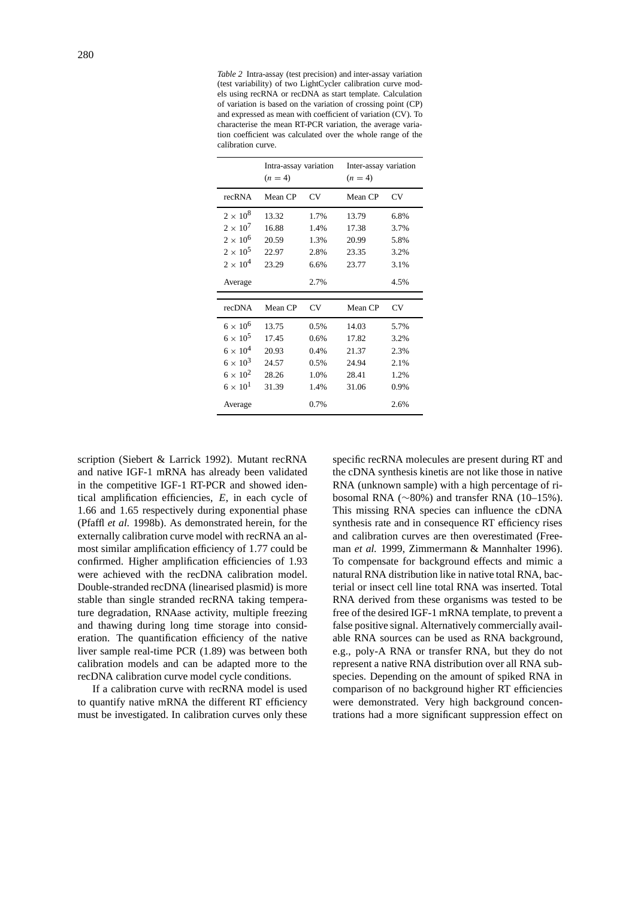*Table 2* Intra-assay (test precision) and inter-assay variation (test variability) of two LightCycler calibration curve models using recRNA or recDNA as start template. Calculation of variation is based on the variation of crossing point (CP) and expressed as mean with coefficient of variation (CV). To characterise the mean RT-PCR variation, the average variation coefficient was calculated over the whole range of the calibration curve.

|                   | Intra-assay variation<br>$(n = 4)$ |           | Inter-assay variation<br>$(n = 4)$ |           |
|-------------------|------------------------------------|-----------|------------------------------------|-----------|
| recRNA            | Mean CP                            | <b>CV</b> | Mean CP                            | <b>CV</b> |
| $2 \times 10^8$   | 13.32                              | 1.7%      | 13.79                              | 6.8%      |
| $2 \times 10^7$   | 16.88                              | 1.4%      | 17.38                              | 3.7%      |
| $2 \times 10^6$   | 20.59                              | 1.3%      | 20.99                              | 5.8%      |
| $2 \times 10^5$   | 22.97                              | 2.8%      | 23.35                              | 3.2%      |
| $2 \times 10^4$   | 23.29                              | 6.6%      | 23.77                              | 3.1%      |
| Average           |                                    | 2.7%      |                                    | 4.5%      |
|                   |                                    |           |                                    |           |
| recDNA            | Mean CP                            | CV        | Mean CP                            | CV        |
| $6 \times 10^6$   | 13.75                              | 0.5%      | 14.03                              | 5.7%      |
| $6 \times 10^5$   | 17.45                              | 0.6%      | 17.82                              | 3.2%      |
| $6 \times 10^4$   | 20.93                              | 0.4%      | 21.37                              | 2.3%      |
| $6 \times 10^3$   | 24.57                              | 0.5%      | 24.94                              | 2.1%      |
| $6 \times 10^2$   | 28.26                              | 1.0%      | 28.41                              | 1.2%      |
| $6 \times 10^{1}$ | 31.39                              | 1.4%      | 31.06                              | 0.9%      |
| Average           |                                    | 0.7%      |                                    | 2.6%      |

scription (Siebert & Larrick 1992). Mutant recRNA and native IGF-1 mRNA has already been validated in the competitive IGF-1 RT-PCR and showed identical amplification efficiencies, *E*, in each cycle of 1.66 and 1.65 respectively during exponential phase (Pfaffl *et al.* 1998b). As demonstrated herein, for the externally calibration curve model with recRNA an almost similar amplification efficiency of 1.77 could be confirmed. Higher amplification efficiencies of 1.93 were achieved with the recDNA calibration model. Double-stranded recDNA (linearised plasmid) is more stable than single stranded recRNA taking temperature degradation, RNAase activity, multiple freezing and thawing during long time storage into consideration. The quantification efficiency of the native liver sample real-time PCR (1.89) was between both calibration models and can be adapted more to the recDNA calibration curve model cycle conditions.

If a calibration curve with recRNA model is used to quantify native mRNA the different RT efficiency must be investigated. In calibration curves only these

specific recRNA molecules are present during RT and the cDNA synthesis kinetis are not like those in native RNA (unknown sample) with a high percentage of ribosomal RNA (∼80%) and transfer RNA (10–15%). This missing RNA species can influence the cDNA synthesis rate and in consequence RT efficiency rises and calibration curves are then overestimated (Freeman *et al.* 1999, Zimmermann & Mannhalter 1996). To compensate for background effects and mimic a natural RNA distribution like in native total RNA, bacterial or insect cell line total RNA was inserted. Total RNA derived from these organisms was tested to be free of the desired IGF-1 mRNA template, to prevent a false positive signal. Alternatively commercially available RNA sources can be used as RNA background, e.g., poly-A RNA or transfer RNA, but they do not represent a native RNA distribution over all RNA subspecies. Depending on the amount of spiked RNA in comparison of no background higher RT efficiencies were demonstrated. Very high background concentrations had a more significant suppression effect on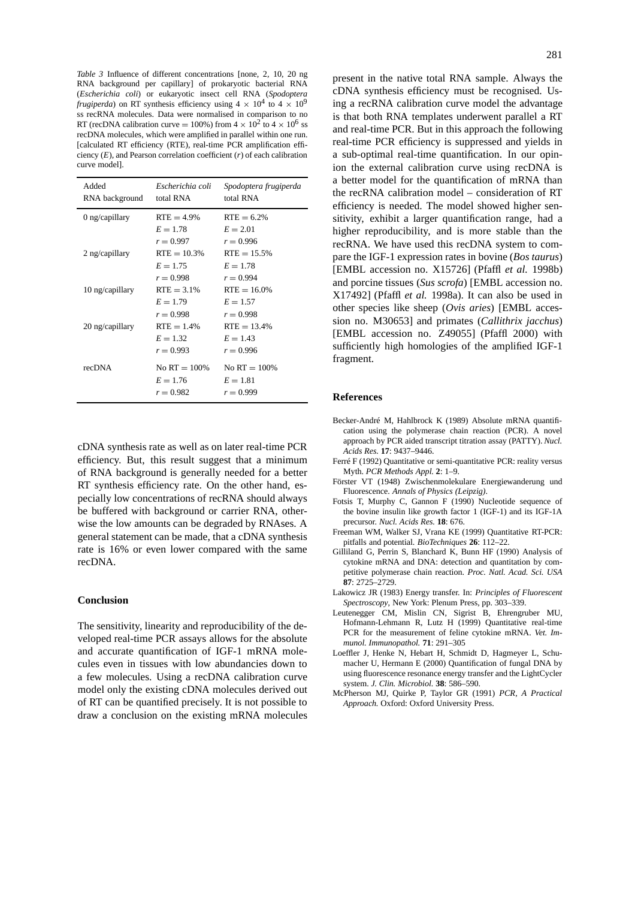*Table 3* Influence of different concentrations [none, 2, 10, 20 ng RNA background per capillary] of prokaryotic bacterial RNA (*Escherichia coli*) or eukaryotic insect cell RNA (*Spodoptera frugiperda*) on RT synthesis efficiency using  $4 \times 10^4$  to  $4 \times 10^9$ ss recRNA molecules. Data were normalised in comparison to no RT (recDNA calibration curve = 100%) from  $4 \times 10^2$  to  $4 \times 10^6$  ss recDNA molecules, which were amplified in parallel within one run. [calculated RT efficiency (RTE), real-time PCR amplification efficiency (*E*), and Pearson correlation coefficient (*r*) of each calibration curve model].

| Added<br>RNA background | Escherichia coli<br>total RNA                | Spodoptera frugiperda<br>total RNA           |
|-------------------------|----------------------------------------------|----------------------------------------------|
| $0$ ng/capillary        | $RTE = 4.9\%$<br>$E = 1.78$<br>$r = 0.997$   | $RTE = 6.2%$<br>$E = 2.01$<br>$r = 0.996$    |
| $2$ ng/capillary        | $RTE = 10.3%$<br>$E = 1.75$<br>$r = 0.998$   | $RTE = 15.5%$<br>$E = 1.78$<br>$r = 0.994$   |
| 10 ng/capillary         | $RTE = 3.1%$<br>$E = 1.79$<br>$r = 0.998$    | $RTE = 16.0%$<br>$E = 1.57$<br>$r = 0.998$   |
| 20 ng/capillary         | $RTE = 1.4%$<br>$E = 1.32$<br>$r = 0.993$    | $RTE = 13.4%$<br>$E = 1.43$<br>$r = 0.996$   |
| recDNA                  | No RT $= 100\%$<br>$E = 1.76$<br>$r = 0.982$ | No RT $= 100\%$<br>$E = 1.81$<br>$r = 0.999$ |

cDNA synthesis rate as well as on later real-time PCR efficiency. But, this result suggest that a minimum of RNA background is generally needed for a better RT synthesis efficiency rate. On the other hand, especially low concentrations of recRNA should always be buffered with background or carrier RNA, otherwise the low amounts can be degraded by RNAses. A general statement can be made, that a cDNA synthesis rate is 16% or even lower compared with the same recDNA.

# **Conclusion**

The sensitivity, linearity and reproducibility of the developed real-time PCR assays allows for the absolute and accurate quantification of IGF-1 mRNA molecules even in tissues with low abundancies down to a few molecules. Using a recDNA calibration curve model only the existing cDNA molecules derived out of RT can be quantified precisely. It is not possible to draw a conclusion on the existing mRNA molecules

present in the native total RNA sample. Always the cDNA synthesis efficiency must be recognised. Using a recRNA calibration curve model the advantage is that both RNA templates underwent parallel a RT and real-time PCR. But in this approach the following real-time PCR efficiency is suppressed and yields in a sub-optimal real-time quantification. In our opinion the external calibration curve using recDNA is a better model for the quantification of mRNA than the recRNA calibration model – consideration of RT efficiency is needed. The model showed higher sensitivity, exhibit a larger quantification range, had a higher reproducibility, and is more stable than the recRNA. We have used this recDNA system to compare the IGF-1 expression rates in bovine (*Bos taurus*) [EMBL accession no. X15726] (Pfaffl *et al.* 1998b) and porcine tissues (*Sus scrofa*) [EMBL accession no. X17492] (Pfaffl *et al.* 1998a). It can also be used in other species like sheep (*Ovis aries*) [EMBL accession no. M30653] and primates (*Callithrix jacchus*) [EMBL accession no. Z49055] (Pfaffl 2000) with sufficiently high homologies of the amplified IGF-1 fragment.

#### **References**

- Becker-André M, Hahlbrock K (1989) Absolute mRNA quantification using the polymerase chain reaction (PCR). A novel approach by PCR aided transcript titration assay (PATTY). *Nucl. Acids Res.* **17**: 9437–9446.
- Ferré F (1992) Quantitative or semi-quantitative PCR: reality versus Myth. *PCR Methods Appl.* **2**: 1–9.
- Förster VT (1948) Zwischenmolekulare Energiewanderung und Fluorescence. *Annals of Physics (Leipzig)*.
- Fotsis T, Murphy C, Gannon F (1990) Nucleotide sequence of the bovine insulin like growth factor 1 (IGF-1) and its IGF-1A precursor. *Nucl. Acids Res.* **18**: 676.
- Freeman WM, Walker SJ, Vrana KE (1999) Quantitative RT-PCR: pitfalls and potential. *BioTechniques* **26**: 112–22.
- Gilliland G, Perrin S, Blanchard K, Bunn HF (1990) Analysis of cytokine mRNA and DNA: detection and quantitation by competitive polymerase chain reaction. *Proc. Natl. Acad. Sci. USA* **87**: 2725–2729.
- Lakowicz JR (1983) Energy transfer. In: *Principles of Fluorescent Spectroscopy*, New York: Plenum Press, pp. 303–339.
- Leutenegger CM, Mislin CN, Sigrist B, Ehrengruber MU, Hofmann-Lehmann R, Lutz H (1999) Quantitative real-time PCR for the measurement of feline cytokine mRNA. *Vet. Immunol. Immunopathol.* **71**: 291–305
- Loeffler J, Henke N, Hebart H, Schmidt D, Hagmeyer L, Schumacher U, Hermann E (2000) Quantification of fungal DNA by using fluorescence resonance energy transfer and the LightCycler system. *J. Clin. Microbiol.* **38**: 586–590.
- McPherson MJ, Quirke P, Taylor GR (1991) *PCR, A Practical Approach.* Oxford: Oxford University Press.